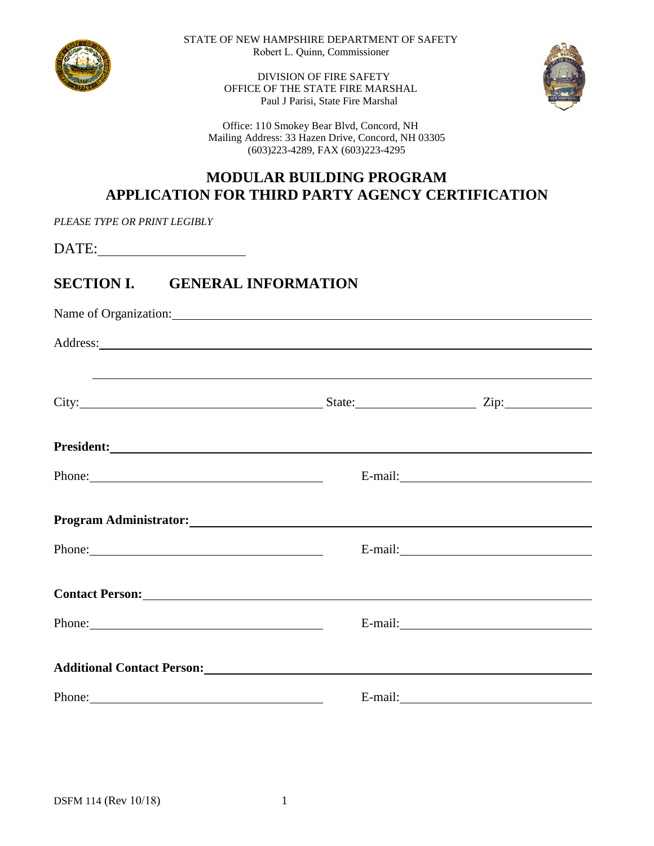

STATE OF NEW HAMPSHIRE DEPARTMENT OF SAFETY Robert L. Quinn, Commissioner

> DIVISION OF FIRE SAFETY OFFICE OF THE STATE FIRE MARSHAL Paul J Parisi, State Fire Marshal



 Office: 110 Smokey Bear Blvd, Concord, NH Mailing Address: 33 Hazen Drive, Concord, NH 03305 (603)223-4289, FAX (603)223-4295

### **MODULAR BUILDING PROGRAM APPLICATION FOR THIRD PARTY AGENCY CERTIFICATION**

*PLEASE TYPE OR PRINT LEGIBLY*

DATE:

### **SECTION I. GENERAL INFORMATION**

| Name of Organization:                                                                                                                                                                                                          |  |  |  |  |
|--------------------------------------------------------------------------------------------------------------------------------------------------------------------------------------------------------------------------------|--|--|--|--|
|                                                                                                                                                                                                                                |  |  |  |  |
| <u> 1990 - Jan Samuel Barbara, martin da shekara ta 1991 - An tsara tsara tsara tsara tsara tsara tsara tsara tsa</u>                                                                                                          |  |  |  |  |
|                                                                                                                                                                                                                                |  |  |  |  |
| Phone: 2008 and 2008 and 2008 and 2008 and 2008 and 2008 and 2008 and 2008 and 2008 and 2008 and 2008 and 2008 and 2008 and 2008 and 2008 and 2008 and 2008 and 2008 and 2008 and 2008 and 2008 and 2008 and 2008 and 2008 and |  |  |  |  |
| Program Administrator: North Contractor Contractor Contractor Contractor Contractor Contractor Contractor Contractor Contractor Contractor Contractor Contractor Contractor Contractor Contractor Contractor Contractor Contra |  |  |  |  |
| Phone: 2008 Phone: 2008 Phone: 2008 Phone: 2008 Phone: 2008 Phone: 2008 Phone: 2008 Phone: 2008 Phone: 2008 Phone: 2008 Phone: 2008 Phone: 2008 Phone: 2008 Phone: 2008 Phone: 2008 Phone: 2008 Phone: 2008 Phone: 2008 Phone: |  |  |  |  |
| Contact Person: New York Contact Person:                                                                                                                                                                                       |  |  |  |  |
| Phone: 2008 Phone: 2008 Phone: 2008 Phone: 2008 Phone: 2008 Phone: 2008 Phone: 2008 Phone: 2008 Phone: 2008 Phone: 2008 Phone: 2008 Phone: 2008 Phone: 2008 Phone: 2008 Phone: 2008 Phone: 2008 Phone: 2008 Phone: 2008 Phone: |  |  |  |  |
|                                                                                                                                                                                                                                |  |  |  |  |
| Phone:                                                                                                                                                                                                                         |  |  |  |  |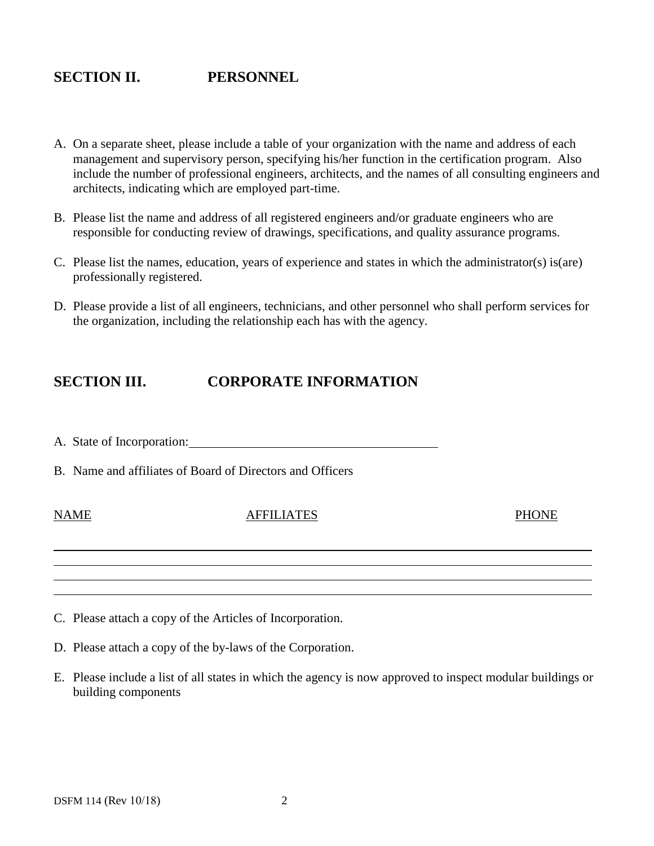# **SECTION II. PERSONNEL**

- A. On a separate sheet, please include a table of your organization with the name and address of each management and supervisory person, specifying his/her function in the certification program. Also include the number of professional engineers, architects, and the names of all consulting engineers and architects, indicating which are employed part-time.
- B. Please list the name and address of all registered engineers and/or graduate engineers who are responsible for conducting review of drawings, specifications, and quality assurance programs.
- C. Please list the names, education, years of experience and states in which the administrator(s) is(are) professionally registered.
- D. Please provide a list of all engineers, technicians, and other personnel who shall perform services for the organization, including the relationship each has with the agency.

### **SECTION III. CORPORATE INFORMATION**

- A. State of Incorporation:
- B. Name and affiliates of Board of Directors and Officers

#### NAME AFFILIATES PHONE

- C. Please attach a copy of the Articles of Incorporation.
- D. Please attach a copy of the by-laws of the Corporation.
- E. Please include a list of all states in which the agency is now approved to inspect modular buildings or building components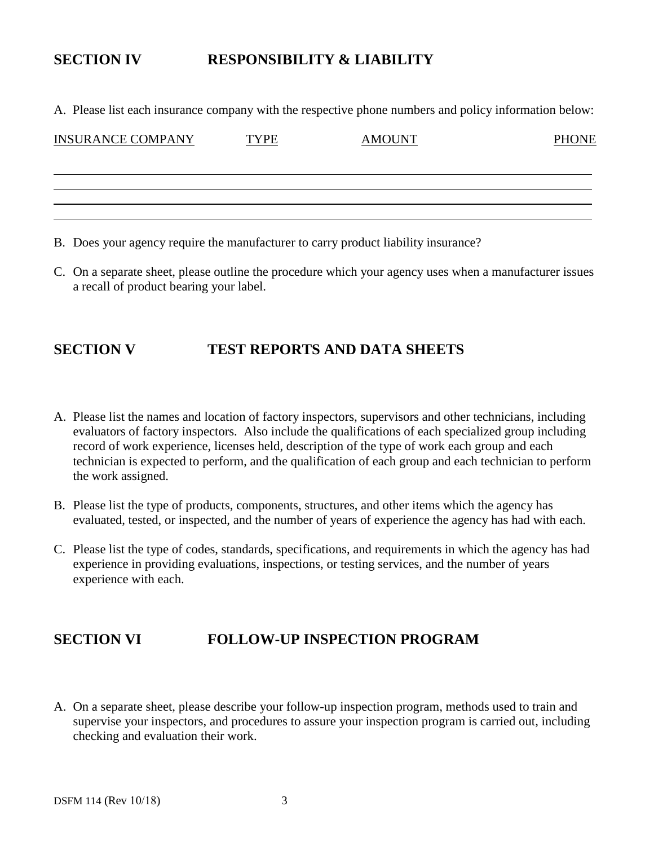# **SECTION IV RESPONSIBILITY & LIABILITY**

A. Please list each insurance company with the respective phone numbers and policy information below:

| <b>INSURANCE COMPANY</b> | <b>TYPE</b> | <b>AMOUNT</b> | <b>PHONE</b> |
|--------------------------|-------------|---------------|--------------|
|                          |             |               |              |
|                          |             |               |              |
|                          |             |               |              |

- B. Does your agency require the manufacturer to carry product liability insurance?
- C. On a separate sheet, please outline the procedure which your agency uses when a manufacturer issues a recall of product bearing your label.

#### **SECTION V TEST REPORTS AND DATA SHEETS**

- A. Please list the names and location of factory inspectors, supervisors and other technicians, including evaluators of factory inspectors. Also include the qualifications of each specialized group including record of work experience, licenses held, description of the type of work each group and each technician is expected to perform, and the qualification of each group and each technician to perform the work assigned.
- B. Please list the type of products, components, structures, and other items which the agency has evaluated, tested, or inspected, and the number of years of experience the agency has had with each.
- C. Please list the type of codes, standards, specifications, and requirements in which the agency has had experience in providing evaluations, inspections, or testing services, and the number of years experience with each.

### **SECTION VI FOLLOW-UP INSPECTION PROGRAM**

A. On a separate sheet, please describe your follow-up inspection program, methods used to train and supervise your inspectors, and procedures to assure your inspection program is carried out, including checking and evaluation their work.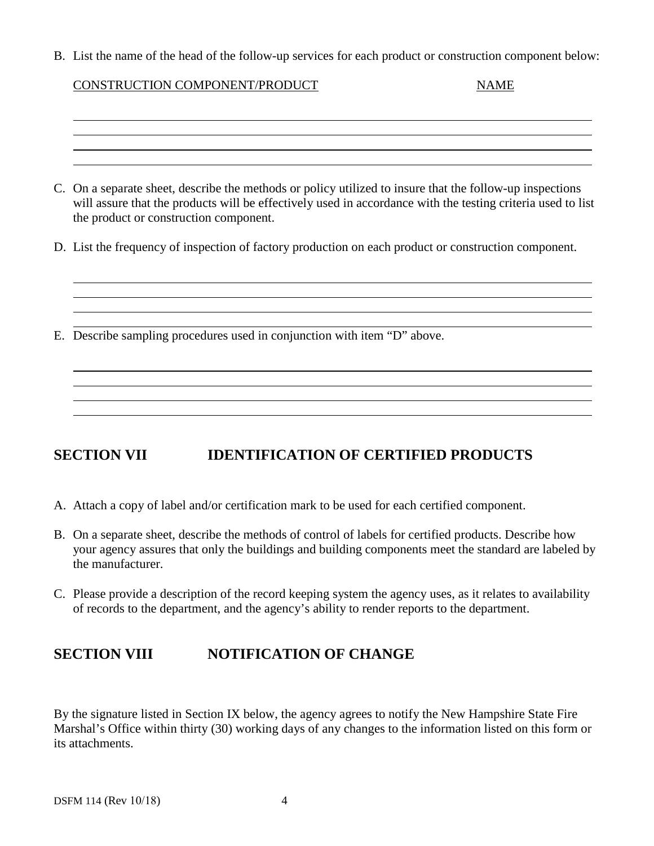B. List the name of the head of the follow-up services for each product or construction component below:

| CONSTRUCTION COMPONENT/PRODUCT | <b>NAME</b> |
|--------------------------------|-------------|
|--------------------------------|-------------|

C. On a separate sheet, describe the methods or policy utilized to insure that the follow-up inspections will assure that the products will be effectively used in accordance with the testing criteria used to list the product or construction component.

<u> 1989 - Jan Salaman Salaman (j. 1989)</u>

- D. List the frequency of inspection of factory production on each product or construction component.
- E. Describe sampling procedures used in conjunction with item "D" above.

# **SECTION VII IDENTIFICATION OF CERTIFIED PRODUCTS**

- A. Attach a copy of label and/or certification mark to be used for each certified component.
- B. On a separate sheet, describe the methods of control of labels for certified products. Describe how your agency assures that only the buildings and building components meet the standard are labeled by the manufacturer.
- C. Please provide a description of the record keeping system the agency uses, as it relates to availability of records to the department, and the agency's ability to render reports to the department.

# **SECTION VIII NOTIFICATION OF CHANGE**

By the signature listed in Section IX below, the agency agrees to notify the New Hampshire State Fire Marshal's Office within thirty (30) working days of any changes to the information listed on this form or its attachments.